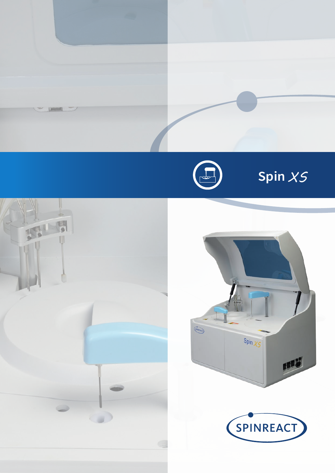



**Director** 



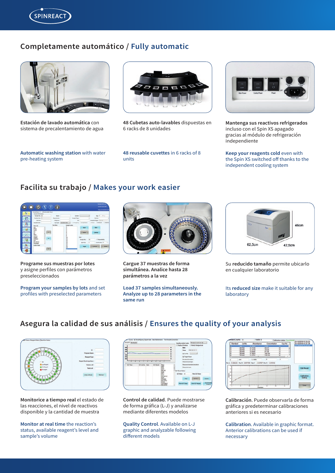

### **Completamente automático / Fully automatic**



**Estación de lavado automática** con sistema de precalentamiento de agua

**48 Cubetas auto-lavables** dispuestas en 6 racks de 8 unidades

**Automatic washing station** with water pre-heating system

**48 reusable cuvettes** in 6 racks of 8 units



**Mantenga sus reactivos refrigerados**  incluso con el Spin XS apagado gracias al módulo de refrigeración independiente

**Keep your reagents cold** even with the Spin XS switched off thanks to the independent cooling system

## **Facilita su trabajo / Makes your work easier**



**Programe sus muestras por lotes** y asigne perfiles con parámetros preseleccionados

**Program your samples by lots** and set profiles with preselected parameters



**Cargue 37 muestras de forma simultánea. Analice hasta 28 parámetros a la vez**

**Load 37 samples simultaneously. Analyze up to 28 parameters in the same run** 



Su **reducido tamaño** permite ubicarlo en cualquier laboratorio

Its **reduced size** make it suitable for any laboratory

### **Asegura la calidad de sus análisis / Ensures the quality of your analysis**



**Monitorice a tiempo real** el estado de las reacciones, el nivel de reactivos disponible y la cantidad de muestra

**Monitor at real time** the reaction's status, available reagent's level and sample's volume



**Control de calidad**. Puede mostrarse de forma gráfica (L-J) y analizarse mediante diferentes modelos

**Quality Control**. Available on L-J graphic and analyzable following different models



**Calibración**. Puede observarla de forma gráfica y predeterminar calibraciones anteriores si es necesario

**Calibration**. Available in graphic format. Anterior calibrations can be used if necessary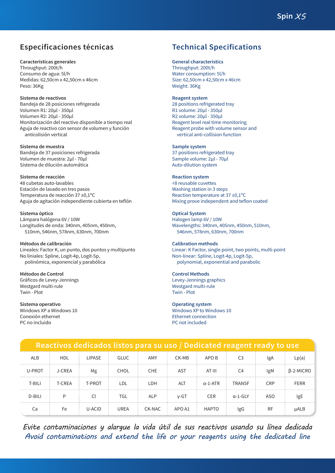# **Especificaciones técnicas**

#### **Características generales**

Throughput: 200t/h Consumo de agua: 5l/h Medidas: 62,50cm x 42,50cm x 46cm Peso: 36Kg

**Sistema de reactivos** Bandeja de 28 posiciones refrigerada Volumen R1: 20µl - 350µl Volumen R2: 20µl - 350µl Monitorización del reactivo disponible a tiempo real Aguja de reactivo con sensor de volumen y función anticolisión vertical

**Sistema de muestra** Bandeja de 37 posiciones refrigerada Volumen de muestra: 2µl - 70µl Sistema de dilución automática

**Sistema de reacción**

48 cubetas auto-lavables Estación de lavado en tres pasos Temperatura de reacción 37 ±0,1ºC Aguja de agitación independiente cubierta en teflón

**Sistema óptico** Lámpara halógena 6V / 10W Longitudes de onda: 340nm, 405nm, 450nm, 510nm, 546nm, 578nm, 630nm, 700nm

**Métodos de calibración** Lineales: Factor K, un punto, dos puntos y multipunto No liniales: Spline, Logit-4p, Logit-5p, polinómica, exponencial y parabólica

**Métodos de Control** Gráficos de Levey-Jennings Westgard multi-rule Twin - Plot

**Sistema operativo** Windows XP a Windows 10 Conexión ethernet

PC no incluido

# **Technical Specifications**

**General characteristics** Throughput: 200t/h Water consumption: 5l/h Size: 62,50cm x 42,50cm x 46cm Weight: 36Kg

**Reagent system** 28 positions refrigerated tray R1 volume: 20µl - 350µl R2 volume: 20µl - 350µl Reagent level real time monitoring Reagent probe with volume sensor and

vertical anti-collision function

**Sample system** 37 positions refrigerated tray Sample volume: 2µl - 70µl

Auto-dilution system

**Reaction system** 48 reusable cuvettes Washing station in 3 steps Reaction temperature at 37 ±0,1ºC Mixing prove independent and teflon coated

**Optical System** Halogen lamp 6V / 10W Wavelengths: 340nm, 405nm, 450nm, 510nm, 546nm, 578nm, 630nm, 700nm

**Calibration methods** Linear: K Factor, single point, two points, multi-point Non-linear: Spline, Logit-4p, Logit-5p, polynomial, exponential and parabolic

**Control Methods** Levey-Jennings graphics Westgard multi-rule Twin - Plot

**Operating system**  Windows XP to Windows 10 Ethernet connection PC not included

| Reactivos dedicados listos para su uso / Dedicated reagent ready to use |            |               |       |        |            |                 |                 |            |                  |
|-------------------------------------------------------------------------|------------|---------------|-------|--------|------------|-----------------|-----------------|------------|------------------|
| ALB                                                                     | <b>HDL</b> | <b>LIPASE</b> | GLUC. | AMY    | CK-MB      | APO B           | C <sub>3</sub>  | IgA        | Lp(a)            |
| U-PROT                                                                  | J-CREA     | Mg            | CHOL  | CHE.   | AST        | AT III          | C4              | IgM        | $\beta$ -2-MICRO |
| T-BILI                                                                  | T-CRFA     | T-PROT        | LDL   | LDH    | <b>ALT</b> | $\alpha$ -1-ATR | <b>TRANSF</b>   | <b>CRP</b> | <b>FERR</b>      |
| D-BILI                                                                  | D          |               | TGL   | ALP    | v-GT       | <b>CER</b>      | $\alpha$ -1-GLY | ASO        | <b>IgE</b>       |
| Ca                                                                      | Fe         | U-ACID        | UREA  | CK-NAC | APO A1     | <b>HAPTO</b>    | lgG             | RF         | uALB             |

*Evite contaminaciones y alargue la vida útil de sus reactivos usando su línea dedicada Avoid contaminations and extend the life or your reagents using the dedicated line*